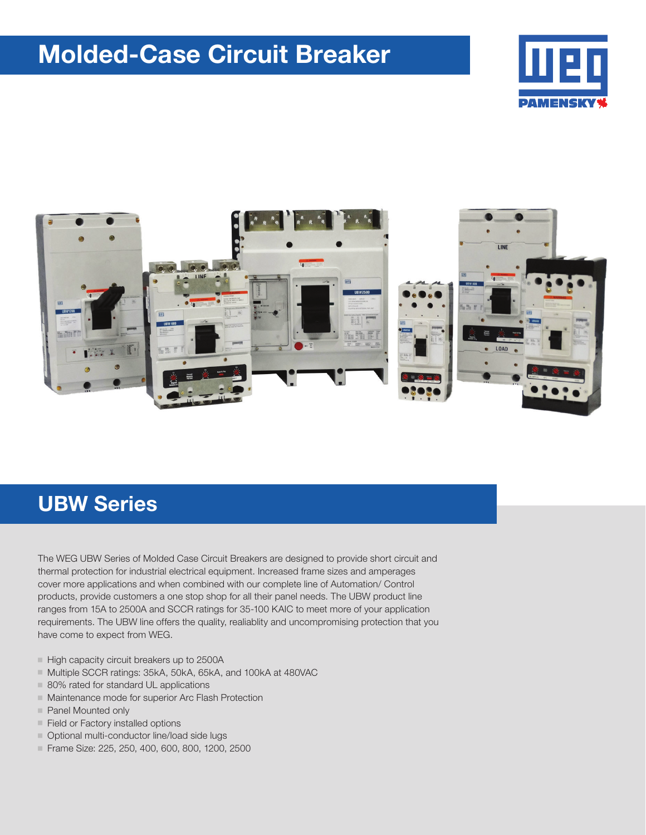## Molded-Case Circuit Breaker





## UBW Series

The WEG UBW Series of Molded Case Circuit Breakers are designed to provide short circuit and thermal protection for industrial electrical equipment. Increased frame sizes and amperages cover more applications and when combined with our complete line of Automation/ Control products, provide customers a one stop shop for all their panel needs. The UBW product line ranges from 15A to 2500A and SCCR ratings for 35-100 KAIC to meet more of your application requirements. The UBW line offers the quality, realiablity and uncompromising protection that you have come to expect from WEG.

- High capacity circuit breakers up to 2500A
- Multiple SCCR ratings: 35kA, 50kA, 65kA, and 100kA at 480VAC
- $\blacksquare$  80% rated for standard UL applications
- $\blacksquare$  Maintenance mode for superior Arc Flash Protection
- Panel Mounted only
- $\blacksquare$  Field or Factory installed options
- $\blacksquare$  Optional multi-conductor line/load side lugs
- Frame Size: 225, 250, 400, 600, 800, 1200, 2500